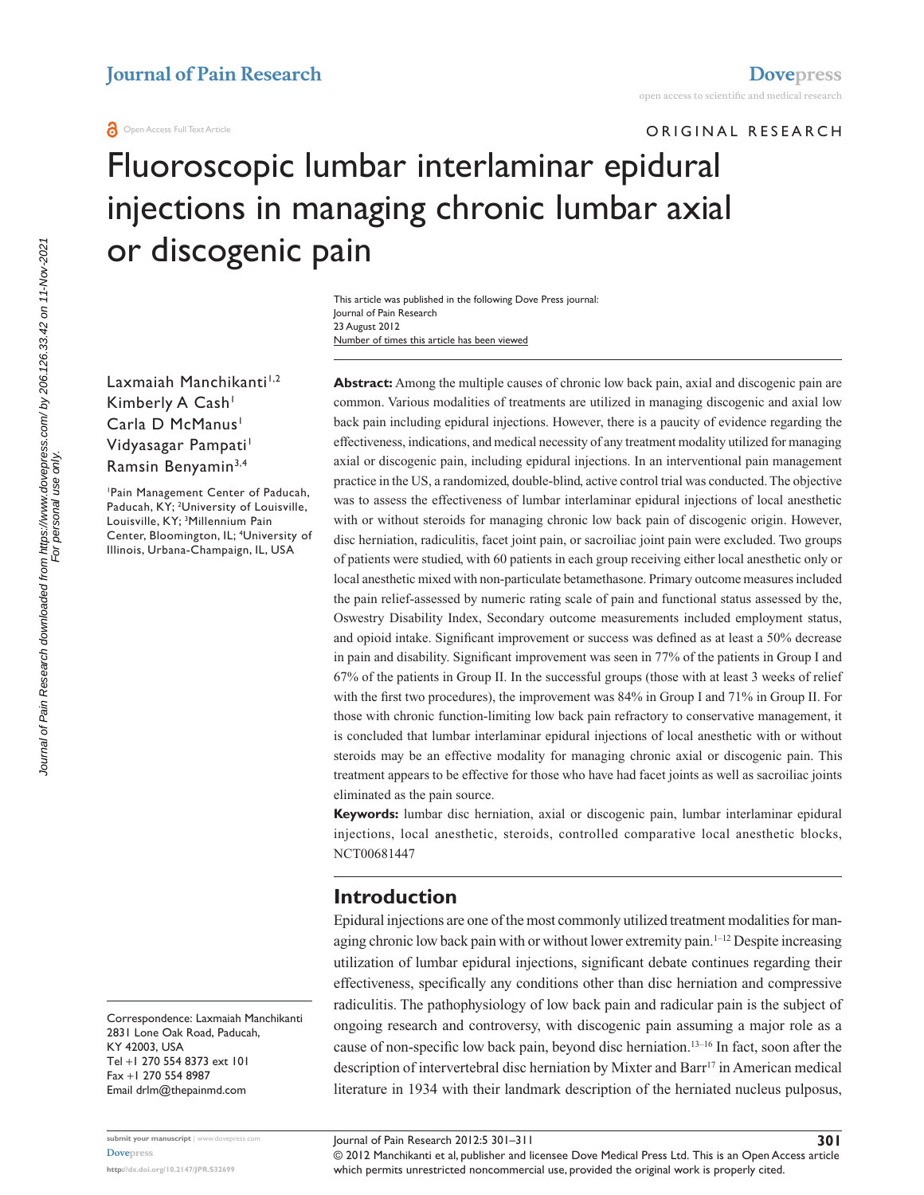**a** Open Access Full Text Article

ORIGINAL RESEARCH

# Fluoroscopic lumbar interlaminar epidural injections in managing chronic lumbar axial or discogenic pain

Number of times this article has been viewed This article was published in the following Dove Press journal: Journal of Pain Research 23 August 2012

Laxmaiah Manchikanti<sup>1,2</sup> Kimberly A Cash<sup>1</sup> Carla D McManus<sup>1</sup> Vidyasagar Pampati<sup>1</sup> Ramsin Benyamin<sup>3,4</sup>

1 Pain Management Center of Paducah, Paducah, KY; <sup>2</sup>University of Louisville, Louisville, KY; <sup>3</sup>Millennium Pain Center, Bloomington, IL; 4 University of Illinois, Urbana-Champaign, IL, USA

Correspondence: Laxmaiah Manchikanti 2831 Lone Oak Road, Paducah, KY 42003, USA Tel +1 270 554 8373 ext 101 Fax +1 270 554 8987 Email [drlm@thepainmd.com](mailto:drlm@thepainmd.com)

**Abstract:** Among the multiple causes of chronic low back pain, axial and discogenic pain are common. Various modalities of treatments are utilized in managing discogenic and axial low back pain including epidural injections. However, there is a paucity of evidence regarding the effectiveness, indications, and medical necessity of any treatment modality utilized for managing axial or discogenic pain, including epidural injections. In an interventional pain management practice in the US, a randomized, double-blind, active control trial was conducted. The objective was to assess the effectiveness of lumbar interlaminar epidural injections of local anesthetic with or without steroids for managing chronic low back pain of discogenic origin. However, disc herniation, radiculitis, facet joint pain, or sacroiliac joint pain were excluded. Two groups of patients were studied, with 60 patients in each group receiving either local anesthetic only or local anesthetic mixed with non-particulate betamethasone. Primary outcome measures included the pain relief-assessed by numeric rating scale of pain and functional status assessed by the, Oswestry Disability Index, Secondary outcome measurements included employment status, and opioid intake. Significant improvement or success was defined as at least a 50% decrease in pain and disability. Significant improvement was seen in 77% of the patients in Group I and 67% of the patients in Group II. In the successful groups (those with at least 3 weeks of relief with the first two procedures), the improvement was 84% in Group I and 71% in Group II. For those with chronic function-limiting low back pain refractory to conservative management, it is concluded that lumbar interlaminar epidural injections of local anesthetic with or without steroids may be an effective modality for managing chronic axial or discogenic pain. This treatment appears to be effective for those who have had facet joints as well as sacroiliac joints eliminated as the pain source.

**Keywords:** lumbar disc herniation, axial or discogenic pain, lumbar interlaminar epidural injections, local anesthetic, steroids, controlled comparative local anesthetic blocks, NCT00681447

## **Introduction**

Epidural injections are one of the most commonly utilized treatment modalities for managing chronic low back pain with or without lower extremity pain.<sup>1–12</sup> Despite increasing utilization of lumbar epidural injections, significant debate continues regarding their effectiveness, specifically any conditions other than disc herniation and compressive radiculitis. The pathophysiology of low back pain and radicular pain is the subject of ongoing research and controversy, with discogenic pain assuming a major role as a cause of non-specific low back pain, beyond disc herniation.13–16 In fact, soon after the description of intervertebral disc herniation by Mixter and Barr<sup>17</sup> in American medical literature in 1934 with their landmark description of the herniated nucleus pulposus,

© 2012 Manchikanti et al, publisher and licensee Dove Medical Press Ltd. This is an Open Access article which permits unrestricted noncommercial use, provided the original work is properly cited.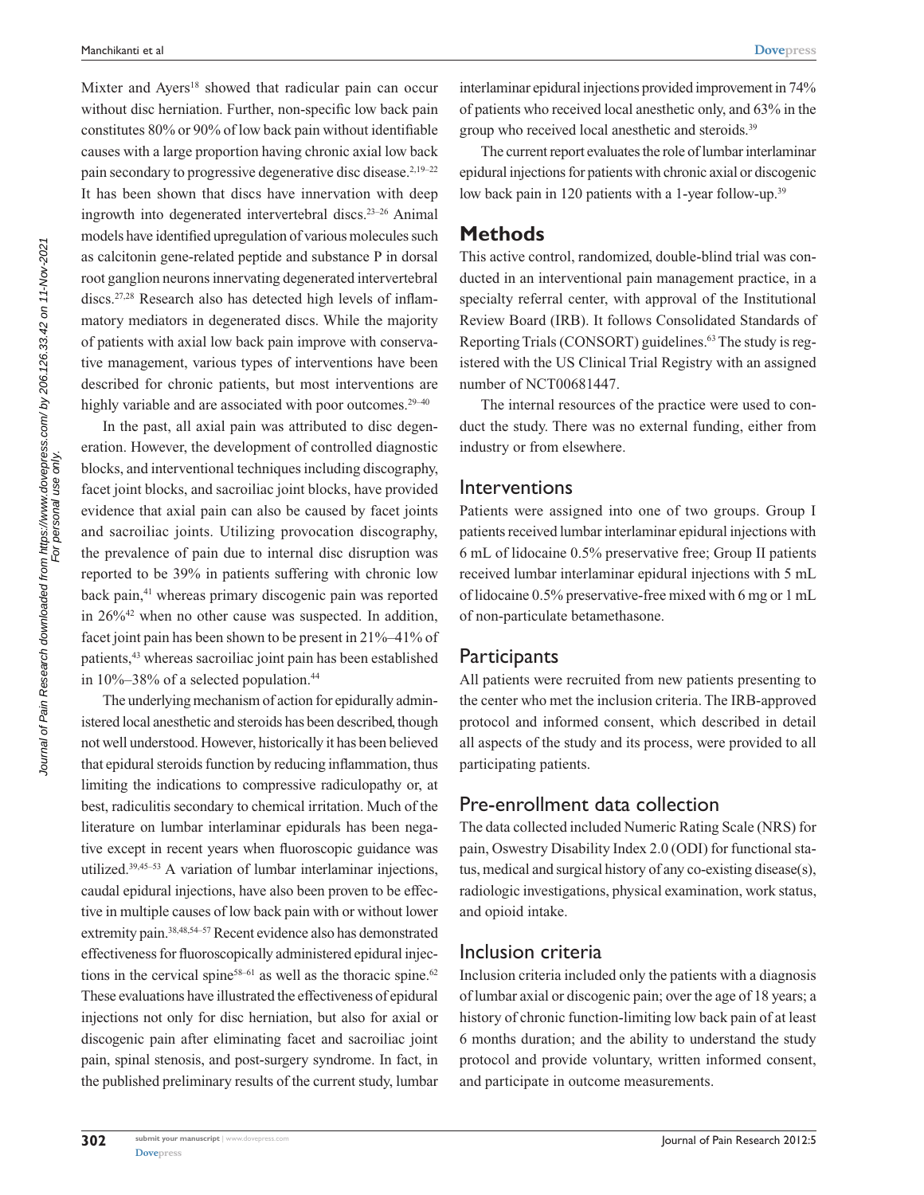Journal of Pain Research downloaded from https://www.dovepress.com/ by 206.126.33.42 on 11-Nov-2021<br>For personal use only. Journal of Pain Research downloaded from https://www.dovepress.com/ by 206.126.33.42 on 11-Nov-2021 For personal use only. Mixter and Ayers<sup>18</sup> showed that radicular pain can occur without disc herniation. Further, non-specific low back pain constitutes 80% or 90% of low back pain without identifiable causes with a large proportion having chronic axial low back pain secondary to progressive degenerative disc disease.<sup>2,19-22</sup> It has been shown that discs have innervation with deep ingrowth into degenerated intervertebral discs.23–26 Animal models have identified upregulation of various molecules such as calcitonin gene-related peptide and substance P in dorsal root ganglion neurons innervating degenerated intervertebral discs.27,28 Research also has detected high levels of inflammatory mediators in degenerated discs. While the majority of patients with axial low back pain improve with conservative management, various types of interventions have been described for chronic patients, but most interventions are highly variable and are associated with poor outcomes.<sup>29–40</sup>

In the past, all axial pain was attributed to disc degeneration. However, the development of controlled diagnostic blocks, and interventional techniques including discography, facet joint blocks, and sacroiliac joint blocks, have provided evidence that axial pain can also be caused by facet joints and sacroiliac joints. Utilizing provocation discography, the prevalence of pain due to internal disc disruption was reported to be 39% in patients suffering with chronic low back pain,41 whereas primary discogenic pain was reported in 26%42 when no other cause was suspected. In addition, facet joint pain has been shown to be present in 21%–41% of patients,<sup>43</sup> whereas sacroiliac joint pain has been established in 10%–38% of a selected population.<sup>44</sup>

The underlying mechanism of action for epidurally administered local anesthetic and steroids has been described, though not well understood. However, historically it has been believed that epidural steroids function by reducing inflammation, thus limiting the indications to compressive radiculopathy or, at best, radiculitis secondary to chemical irritation. Much of the literature on lumbar interlaminar epidurals has been negative except in recent years when fluoroscopic guidance was utilized.39,45–53 A variation of lumbar interlaminar injections, caudal epidural injections, have also been proven to be effective in multiple causes of low back pain with or without lower extremity pain.<sup>38,48,54–57</sup> Recent evidence also has demonstrated effectiveness for fluoroscopically administered epidural injections in the cervical spine<sup>58–61</sup> as well as the thoracic spine.<sup>62</sup> These evaluations have illustrated the effectiveness of epidural injections not only for disc herniation, but also for axial or discogenic pain after eliminating facet and sacroiliac joint pain, spinal stenosis, and post-surgery syndrome. In fact, in the published preliminary results of the current study, lumbar

interlaminar epidural injections provided improvement in 74% of patients who received local anesthetic only, and 63% in the group who received local anesthetic and steroids.<sup>39</sup>

The current report evaluates the role of lumbar interlaminar epidural injections for patients with chronic axial or discogenic low back pain in 120 patients with a 1-year follow-up.<sup>39</sup>

#### **Methods**

This active control, randomized, double-blind trial was conducted in an interventional pain management practice, in a specialty referral center, with approval of the Institutional Review Board (IRB). It follows Consolidated Standards of Reporting Trials (CONSORT) guidelines.<sup>63</sup> The study is registered with the US Clinical Trial Registry with an assigned number of NCT00681447.

The internal resources of the practice were used to conduct the study. There was no external funding, either from industry or from elsewhere.

#### Interventions

Patients were assigned into one of two groups. Group I patients received lumbar interlaminar epidural injections with 6 mL of lidocaine 0.5% preservative free; Group II patients received lumbar interlaminar epidural injections with 5 mL of lidocaine 0.5% preservative-free mixed with 6 mg or 1 mL of non-particulate betamethasone.

#### **Participants**

All patients were recruited from new patients presenting to the center who met the inclusion criteria. The IRB-approved protocol and informed consent, which described in detail all aspects of the study and its process, were provided to all participating patients.

## Pre-enrollment data collection

The data collected included Numeric Rating Scale (NRS) for pain, Oswestry Disability Index 2.0 (ODI) for functional status, medical and surgical history of any co-existing disease(s), radiologic investigations, physical examination, work status, and opioid intake.

## Inclusion criteria

Inclusion criteria included only the patients with a diagnosis of lumbar axial or discogenic pain; over the age of 18 years; a history of chronic function-limiting low back pain of at least 6 months duration; and the ability to understand the study protocol and provide voluntary, written informed consent, and participate in outcome measurements.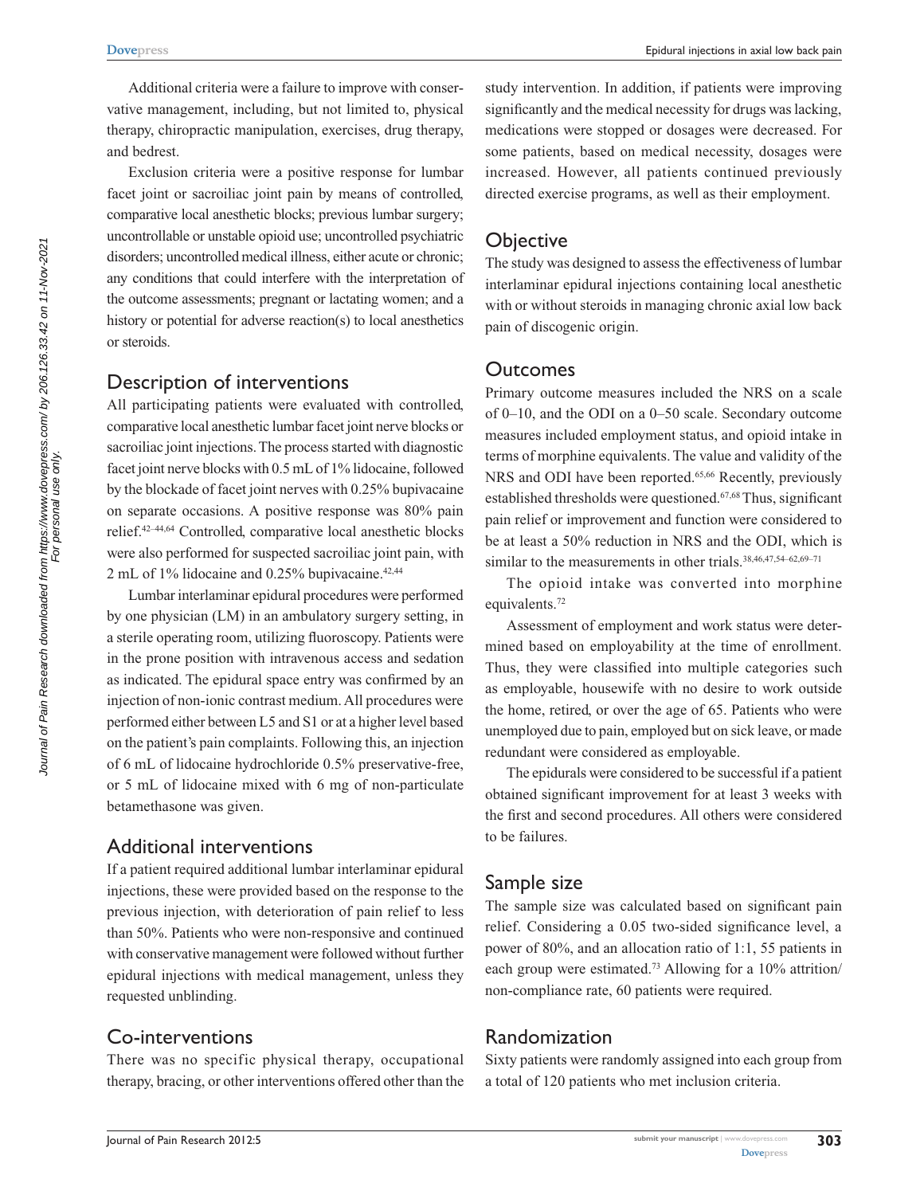Additional criteria were a failure to improve with conservative management, including, but not limited to, physical therapy, chiropractic manipulation, exercises, drug therapy, and bedrest.

Exclusion criteria were a positive response for lumbar facet joint or sacroiliac joint pain by means of controlled, comparative local anesthetic blocks; previous lumbar surgery; uncontrollable or unstable opioid use; uncontrolled psychiatric disorders; uncontrolled medical illness, either acute or chronic; any conditions that could interfere with the interpretation of the outcome assessments; pregnant or lactating women; and a history or potential for adverse reaction(s) to local anesthetics or steroids.

#### Description of interventions

All participating patients were evaluated with controlled, comparative local anesthetic lumbar facet joint nerve blocks or sacroiliac joint injections. The process started with diagnostic facet joint nerve blocks with 0.5 mL of 1% lidocaine, followed by the blockade of facet joint nerves with 0.25% bupivacaine on separate occasions. A positive response was 80% pain relief.42–44,64 Controlled, comparative local anesthetic blocks were also performed for suspected sacroiliac joint pain, with 2 mL of  $1\%$  lidocaine and 0.25% bupivacaine.<sup>42,44</sup>

Lumbar interlaminar epidural procedures were performed by one physician (LM) in an ambulatory surgery setting, in a sterile operating room, utilizing fluoroscopy. Patients were in the prone position with intravenous access and sedation as indicated. The epidural space entry was confirmed by an injection of non-ionic contrast medium. All procedures were performed either between L5 and S1 or at a higher level based on the patient's pain complaints. Following this, an injection of 6 mL of lidocaine hydrochloride 0.5% preservative-free, or 5 mL of lidocaine mixed with 6 mg of non-particulate betamethasone was given.

#### Additional interventions

If a patient required additional lumbar interlaminar epidural injections, these were provided based on the response to the previous injection, with deterioration of pain relief to less than 50%. Patients who were non-responsive and continued with conservative management were followed without further epidural injections with medical management, unless they requested unblinding.

#### Co-interventions

There was no specific physical therapy, occupational therapy, bracing, or other interventions offered other than the study intervention. In addition, if patients were improving significantly and the medical necessity for drugs was lacking, medications were stopped or dosages were decreased. For some patients, based on medical necessity, dosages were increased. However, all patients continued previously directed exercise programs, as well as their employment.

#### **Objective**

The study was designed to assess the effectiveness of lumbar interlaminar epidural injections containing local anesthetic with or without steroids in managing chronic axial low back pain of discogenic origin.

#### Outcomes

Primary outcome measures included the NRS on a scale of 0–10, and the ODI on a 0–50 scale. Secondary outcome measures included employment status, and opioid intake in terms of morphine equivalents. The value and validity of the NRS and ODI have been reported.<sup>65,66</sup> Recently, previously established thresholds were questioned.67,68 Thus, significant pain relief or improvement and function were considered to be at least a 50% reduction in NRS and the ODI, which is similar to the measurements in other trials.<sup>38,46,47,54–62,69–71</sup>

The opioid intake was converted into morphine equivalents.<sup>72</sup>

Assessment of employment and work status were determined based on employability at the time of enrollment. Thus, they were classified into multiple categories such as employable, housewife with no desire to work outside the home, retired, or over the age of 65. Patients who were unemployed due to pain, employed but on sick leave, or made redundant were considered as employable.

The epidurals were considered to be successful if a patient obtained significant improvement for at least 3 weeks with the first and second procedures. All others were considered to be failures.

#### Sample size

The sample size was calculated based on significant pain relief. Considering a 0.05 two-sided significance level, a power of 80%, and an allocation ratio of 1:1, 55 patients in each group were estimated.73 Allowing for a 10% attrition/ non-compliance rate, 60 patients were required.

#### Randomization

Sixty patients were randomly assigned into each group from a total of 120 patients who met inclusion criteria.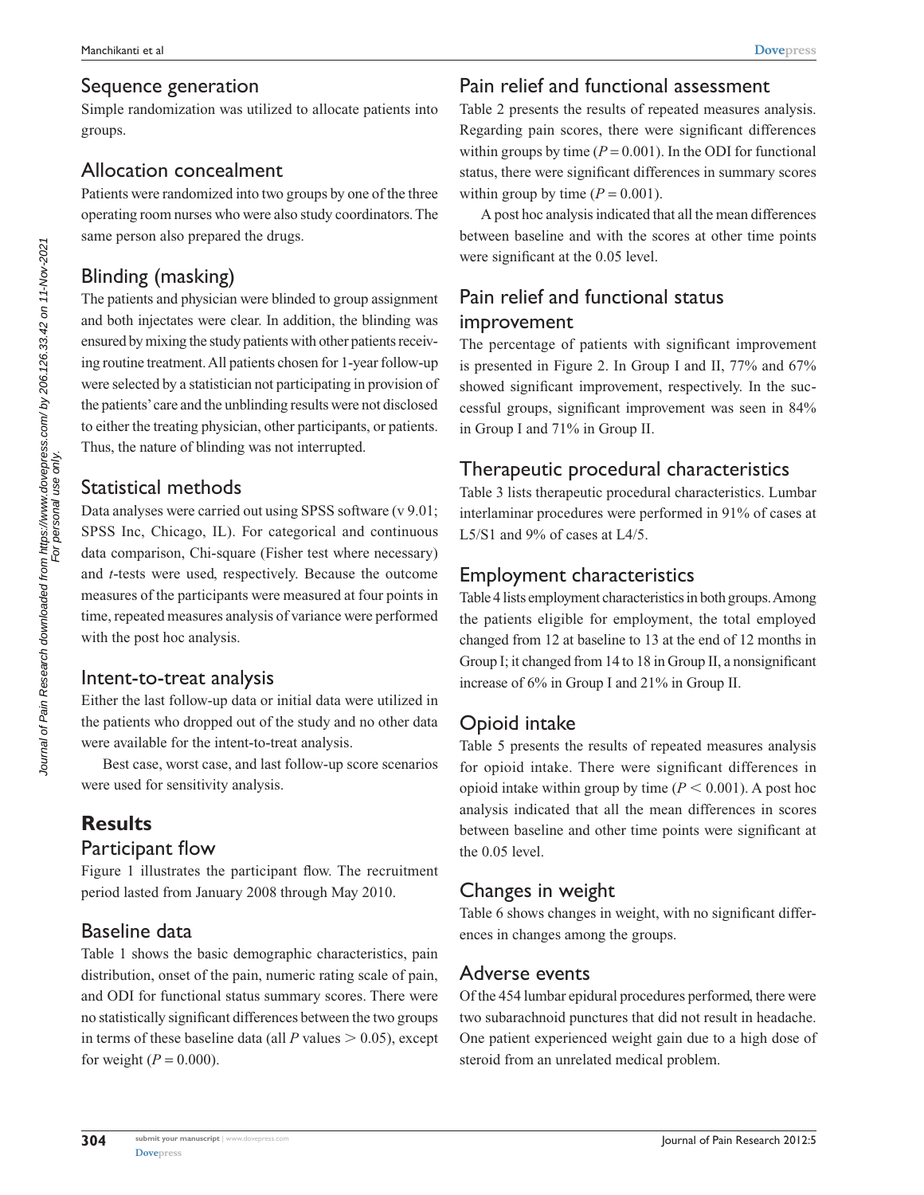#### Sequence generation

Simple randomization was utilized to allocate patients into groups.

## Allocation concealment

Patients were randomized into two groups by one of the three operating room nurses who were also study coordinators. The same person also prepared the drugs.

# Blinding (masking)

The patients and physician were blinded to group assignment and both injectates were clear. In addition, the blinding was ensured by mixing the study patients with other patients receiving routine treatment. All patients chosen for 1-year follow-up were selected by a statistician not participating in provision of the patients' care and the unblinding results were not disclosed to either the treating physician, other participants, or patients. Thus, the nature of blinding was not interrupted.

## Statistical methods

Journal of Pain Research downloaded from https://www.dovepress.com/ by 206.126.33.42 on 11-Nov-2021 Journal of Pain Research downloaded from https://www.dovepress.com/ by 206.126.33.42 on 11-Nov-2021<br>For personal use only. For personal use only.

Data analyses were carried out using SPSS software (v 9.01; SPSS Inc, Chicago, IL). For categorical and continuous data comparison, Chi-square (Fisher test where necessary) and *t*-tests were used, respectively. Because the outcome measures of the participants were measured at four points in time, repeated measures analysis of variance were performed with the post hoc analysis.

## Intent-to-treat analysis

Either the last follow-up data or initial data were utilized in the patients who dropped out of the study and no other data were available for the intent-to-treat analysis.

Best case, worst case, and last follow-up score scenarios were used for sensitivity analysis.

# **Results**

#### Participant flow

Figure 1 illustrates the participant flow. The recruitment period lasted from January 2008 through May 2010.

## Baseline data

Table 1 shows the basic demographic characteristics, pain distribution, onset of the pain, numeric rating scale of pain, and ODI for functional status summary scores. There were no statistically significant differences between the two groups in terms of these baseline data (all  $P$  values  $> 0.05$ ), except for weight  $(P = 0.000)$ .

## Pain relief and functional assessment

Table 2 presents the results of repeated measures analysis. Regarding pain scores, there were significant differences within groups by time  $(P = 0.001)$ . In the ODI for functional status, there were significant differences in summary scores within group by time  $(P = 0.001)$ .

A post hoc analysis indicated that all the mean differences between baseline and with the scores at other time points were significant at the 0.05 level.

## Pain relief and functional status improvement

The percentage of patients with significant improvement is presented in Figure 2. In Group I and II, 77% and 67% showed significant improvement, respectively. In the successful groups, significant improvement was seen in 84% in Group I and 71% in Group II.

## Therapeutic procedural characteristics

Table 3 lists therapeutic procedural characteristics. Lumbar interlaminar procedures were performed in 91% of cases at L5/S1 and 9% of cases at L4/5.

## Employment characteristics

Table 4 lists employment characteristics in both groups. Among the patients eligible for employment, the total employed changed from 12 at baseline to 13 at the end of 12 months in Group I; it changed from 14 to 18 in Group II, a nonsignificant increase of 6% in Group I and 21% in Group II.

## Opioid intake

Table 5 presents the results of repeated measures analysis for opioid intake. There were significant differences in opioid intake within group by time  $(P < 0.001)$ . A post hoc analysis indicated that all the mean differences in scores between baseline and other time points were significant at the 0.05 level.

## Changes in weight

Table 6 shows changes in weight, with no significant differences in changes among the groups.

## Adverse events

Of the 454 lumbar epidural procedures performed, there were two subarachnoid punctures that did not result in headache. One patient experienced weight gain due to a high dose of steroid from an unrelated medical problem.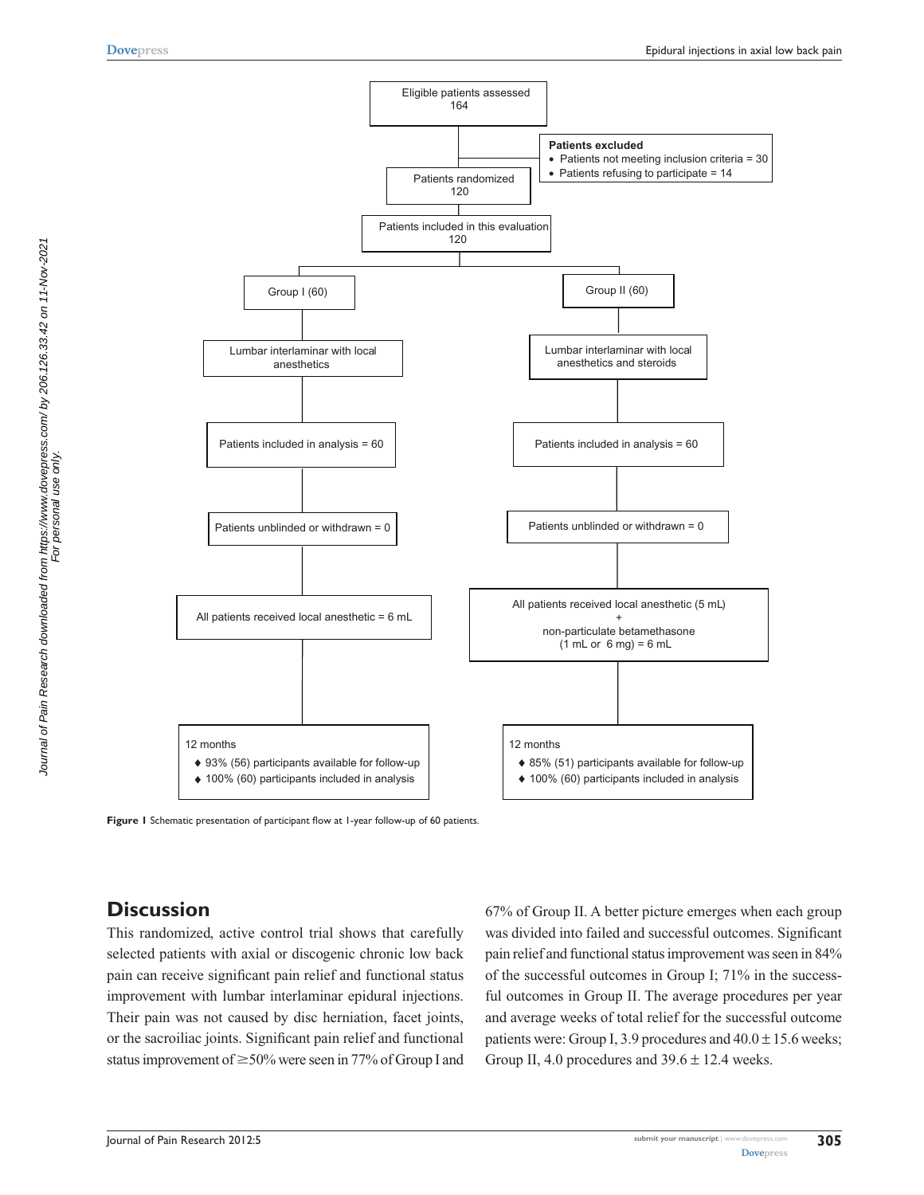



**Figure 1** Schematic presentation of participant flow at 1-year follow-up of 60 patients.

## **Discussion**

This randomized, active control trial shows that carefully selected patients with axial or discogenic chronic low back pain can receive significant pain relief and functional status improvement with lumbar interlaminar epidural injections. Their pain was not caused by disc herniation, facet joints, or the sacroiliac joints. Significant pain relief and functional status improvement of  $\geq$ 50% were seen in 77% of Group I and 67% of Group II. A better picture emerges when each group was divided into failed and successful outcomes. Significant pain relief and functional status improvement was seen in 84% of the successful outcomes in Group I; 71% in the successful outcomes in Group II. The average procedures per year and average weeks of total relief for the successful outcome patients were: Group I, 3.9 procedures and  $40.0 \pm 15.6$  weeks; Group II, 4.0 procedures and  $39.6 \pm 12.4$  weeks.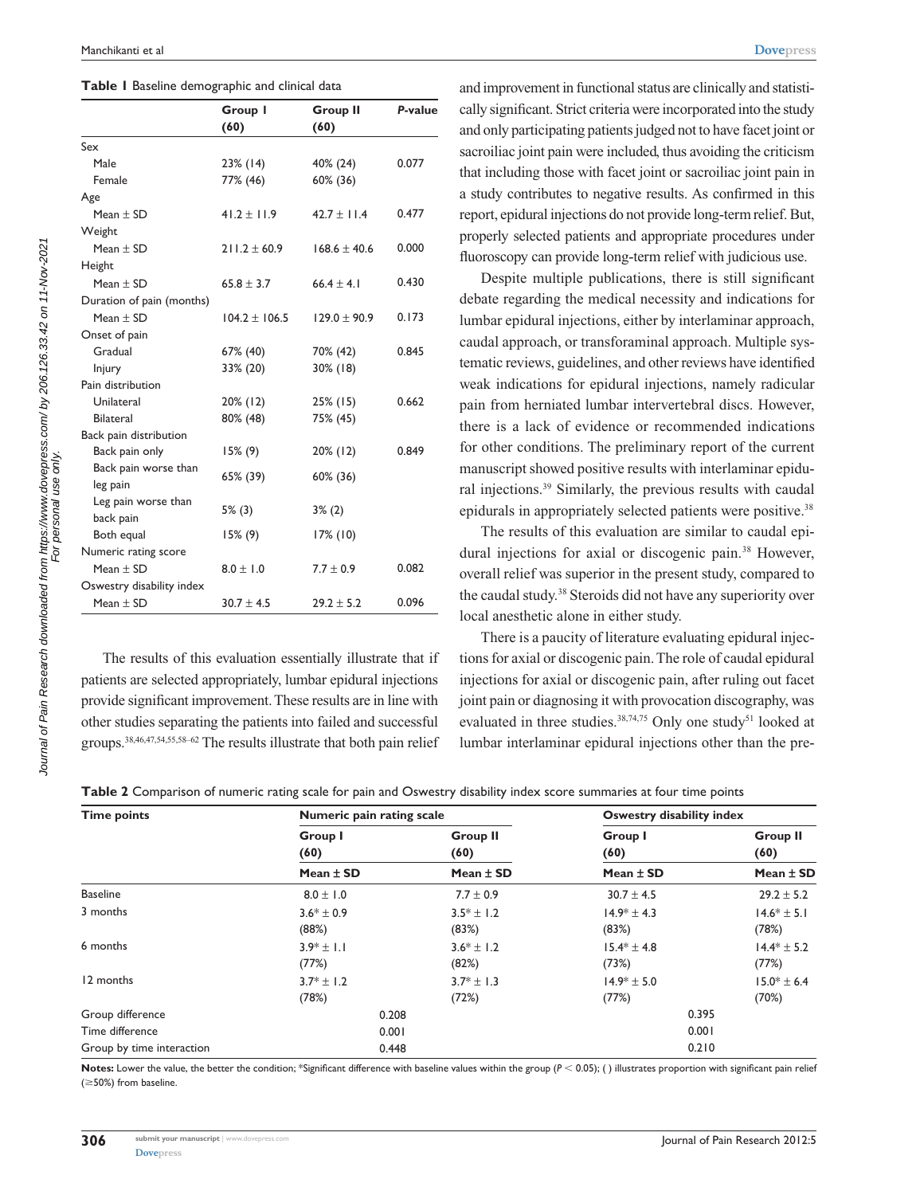|  |  | Table I Baseline demographic and clinical data |  |  |  |
|--|--|------------------------------------------------|--|--|--|
|--|--|------------------------------------------------|--|--|--|

| Group I<br><b>Group II</b><br>(60)<br>(60)<br>Male<br>$23\%$ (14)<br>40% (24)<br>0.077<br>Female<br>77% (46)<br>60% (36)<br>0.477<br>Mean $\pm$ SD<br>$41.2 \pm 11.9$<br>$42.7 \pm 11.4$<br>0.000<br>Mean $\pm$ SD<br>$211.2 \pm 60.9$<br>$168.6 \pm 40.6$<br>Mean $\pm$ SD<br>$65.8 \pm 3.7$<br>$66.4 \pm 4.1$<br>0.430<br>0.173<br>Mean $\pm$ SD<br>$104.2 \pm 106.5$<br>$129.0 \pm 90.9$<br>Gradual<br>67% (40)<br>0.845<br>70% (42)<br>33% (20)<br>$30\%$ (18)<br>Injury<br>Unilateral<br>0.662<br>20% (12)<br>$25\%$ (15)<br><b>Bilateral</b><br>80% (48)<br>75% (45)<br>Back pain only<br>$15\%$ (9)<br>20% (12)<br>0.849<br>Back pain worse than<br>65% (39)<br>60% (36)<br>leg pain<br>Leg pain worse than<br>$5\%$ (3)<br>$3\%$ (2)<br>back pain<br>Both equal<br>$15\%$ (9)<br>$17\%$ (10)<br>Mean $\pm$ SD<br>0.082<br>$8.0 \pm 1.0$<br>$7.7 \pm 0.9$<br>0.096<br>Mean $\pm$ SD<br>$30.7 \pm 4.5$<br>$29.2 \pm 5.2$ |  |         |
|--------------------------------------------------------------------------------------------------------------------------------------------------------------------------------------------------------------------------------------------------------------------------------------------------------------------------------------------------------------------------------------------------------------------------------------------------------------------------------------------------------------------------------------------------------------------------------------------------------------------------------------------------------------------------------------------------------------------------------------------------------------------------------------------------------------------------------------------------------------------------------------------------------------------------------|--|---------|
| Sex<br>Age<br>Weight<br>Height<br>Duration of pain (months)<br>Onset of pain<br>Pain distribution<br>Back pain distribution<br>Numeric rating score<br>Oswestry disability index                                                                                                                                                                                                                                                                                                                                                                                                                                                                                                                                                                                                                                                                                                                                               |  | P-value |
|                                                                                                                                                                                                                                                                                                                                                                                                                                                                                                                                                                                                                                                                                                                                                                                                                                                                                                                                |  |         |
|                                                                                                                                                                                                                                                                                                                                                                                                                                                                                                                                                                                                                                                                                                                                                                                                                                                                                                                                |  |         |
|                                                                                                                                                                                                                                                                                                                                                                                                                                                                                                                                                                                                                                                                                                                                                                                                                                                                                                                                |  |         |
|                                                                                                                                                                                                                                                                                                                                                                                                                                                                                                                                                                                                                                                                                                                                                                                                                                                                                                                                |  |         |
|                                                                                                                                                                                                                                                                                                                                                                                                                                                                                                                                                                                                                                                                                                                                                                                                                                                                                                                                |  |         |
|                                                                                                                                                                                                                                                                                                                                                                                                                                                                                                                                                                                                                                                                                                                                                                                                                                                                                                                                |  |         |
|                                                                                                                                                                                                                                                                                                                                                                                                                                                                                                                                                                                                                                                                                                                                                                                                                                                                                                                                |  |         |
|                                                                                                                                                                                                                                                                                                                                                                                                                                                                                                                                                                                                                                                                                                                                                                                                                                                                                                                                |  |         |
|                                                                                                                                                                                                                                                                                                                                                                                                                                                                                                                                                                                                                                                                                                                                                                                                                                                                                                                                |  |         |
|                                                                                                                                                                                                                                                                                                                                                                                                                                                                                                                                                                                                                                                                                                                                                                                                                                                                                                                                |  |         |
|                                                                                                                                                                                                                                                                                                                                                                                                                                                                                                                                                                                                                                                                                                                                                                                                                                                                                                                                |  |         |
|                                                                                                                                                                                                                                                                                                                                                                                                                                                                                                                                                                                                                                                                                                                                                                                                                                                                                                                                |  |         |
|                                                                                                                                                                                                                                                                                                                                                                                                                                                                                                                                                                                                                                                                                                                                                                                                                                                                                                                                |  |         |
|                                                                                                                                                                                                                                                                                                                                                                                                                                                                                                                                                                                                                                                                                                                                                                                                                                                                                                                                |  |         |
|                                                                                                                                                                                                                                                                                                                                                                                                                                                                                                                                                                                                                                                                                                                                                                                                                                                                                                                                |  |         |
|                                                                                                                                                                                                                                                                                                                                                                                                                                                                                                                                                                                                                                                                                                                                                                                                                                                                                                                                |  |         |
|                                                                                                                                                                                                                                                                                                                                                                                                                                                                                                                                                                                                                                                                                                                                                                                                                                                                                                                                |  |         |
|                                                                                                                                                                                                                                                                                                                                                                                                                                                                                                                                                                                                                                                                                                                                                                                                                                                                                                                                |  |         |
|                                                                                                                                                                                                                                                                                                                                                                                                                                                                                                                                                                                                                                                                                                                                                                                                                                                                                                                                |  |         |
|                                                                                                                                                                                                                                                                                                                                                                                                                                                                                                                                                                                                                                                                                                                                                                                                                                                                                                                                |  |         |
|                                                                                                                                                                                                                                                                                                                                                                                                                                                                                                                                                                                                                                                                                                                                                                                                                                                                                                                                |  |         |
|                                                                                                                                                                                                                                                                                                                                                                                                                                                                                                                                                                                                                                                                                                                                                                                                                                                                                                                                |  |         |
|                                                                                                                                                                                                                                                                                                                                                                                                                                                                                                                                                                                                                                                                                                                                                                                                                                                                                                                                |  |         |
|                                                                                                                                                                                                                                                                                                                                                                                                                                                                                                                                                                                                                                                                                                                                                                                                                                                                                                                                |  |         |
|                                                                                                                                                                                                                                                                                                                                                                                                                                                                                                                                                                                                                                                                                                                                                                                                                                                                                                                                |  |         |
|                                                                                                                                                                                                                                                                                                                                                                                                                                                                                                                                                                                                                                                                                                                                                                                                                                                                                                                                |  |         |
|                                                                                                                                                                                                                                                                                                                                                                                                                                                                                                                                                                                                                                                                                                                                                                                                                                                                                                                                |  |         |
|                                                                                                                                                                                                                                                                                                                                                                                                                                                                                                                                                                                                                                                                                                                                                                                                                                                                                                                                |  |         |

The results of this evaluation essentially illustrate that if patients are selected appropriately, lumbar epidural injections provide significant improvement. These results are in line with other studies separating the patients into failed and successful groups.38,46,47,54,55,58–62 The results illustrate that both pain relief

and improvement in functional status are clinically and statistically significant. Strict criteria were incorporated into the study and only participating patients judged not to have facet joint or sacroiliac joint pain were included, thus avoiding the criticism that including those with facet joint or sacroiliac joint pain in a study contributes to negative results. As confirmed in this report, epidural injections do not provide long-term relief. But, properly selected patients and appropriate procedures under fluoroscopy can provide long-term relief with judicious use.

Despite multiple publications, there is still significant debate regarding the medical necessity and indications for lumbar epidural injections, either by interlaminar approach, caudal approach, or transforaminal approach. Multiple systematic reviews, guidelines, and other reviews have identified weak indications for epidural injections, namely radicular pain from herniated lumbar intervertebral discs. However, there is a lack of evidence or recommended indications for other conditions. The preliminary report of the current manuscript showed positive results with interlaminar epidural injections.39 Similarly, the previous results with caudal epidurals in appropriately selected patients were positive.<sup>38</sup>

The results of this evaluation are similar to caudal epidural injections for axial or discogenic pain.<sup>38</sup> However, overall relief was superior in the present study, compared to the caudal study.38 Steroids did not have any superiority over local anesthetic alone in either study.

There is a paucity of literature evaluating epidural injections for axial or discogenic pain. The role of caudal epidural injections for axial or discogenic pain, after ruling out facet joint pain or diagnosing it with provocation discography, was evaluated in three studies. $38,74,75$  Only one study<sup>51</sup> looked at lumbar interlaminar epidural injections other than the pre-

| ${\sf Table~2}$ Comparison of numeric rating scale for pain and Oswestry disability index score summaries at four time points |  |  |
|-------------------------------------------------------------------------------------------------------------------------------|--|--|
|-------------------------------------------------------------------------------------------------------------------------------|--|--|

| <b>Time points</b>        | Numeric pain rating scale |                         | Oswestry disability index |                         |
|---------------------------|---------------------------|-------------------------|---------------------------|-------------------------|
|                           | <b>Group I</b><br>(60)    | <b>Group II</b><br>(60) | Group I<br>(60)           | <b>Group II</b><br>(60) |
|                           | Mean $\pm$ SD             | Mean $\pm$ SD           | Mean $\pm$ SD             | Mean $\pm$ SD           |
| <b>Baseline</b>           | $8.0 \pm 1.0$             | $7.7 \pm 0.9$           | $30.7 \pm 4.5$            | $29.2 \pm 5.2$          |
| 3 months                  | $3.6* \pm 0.9$            | $3.5* \pm 1.2$          | $14.9* \pm 4.3$           | $14.6* \pm 5.1$         |
|                           | (88%)                     | (83%)                   | (83%)                     | (78%)                   |
| 6 months                  | $3.9* \pm 1.1$            | $3.6* \pm 1.2$          | $15.4* \pm 4.8$           | $14.4* \pm 5.2$         |
|                           | (77%)                     | (82%)                   | (73%)                     | (77%)                   |
| 12 months                 | $3.7* \pm 1.2$            | $3.7* \pm 1.3$          | $14.9* \pm 5.0$           | $15.0* \pm 6.4$         |
|                           | (78%)                     | (72%)                   | (77%)                     | (70%)                   |
| Group difference          | 0.208                     |                         | 0.395                     |                         |
| Time difference           | 0.001                     |                         | 0.001                     |                         |
| Group by time interaction | 0.448                     |                         | 0.210                     |                         |

Notes: Lower the value, the better the condition; \*Significant difference with baseline values within the group ( $P < 0.05$ ); () illustrates proportion with significant pain relief  $(\geq 50\%)$  from baseline.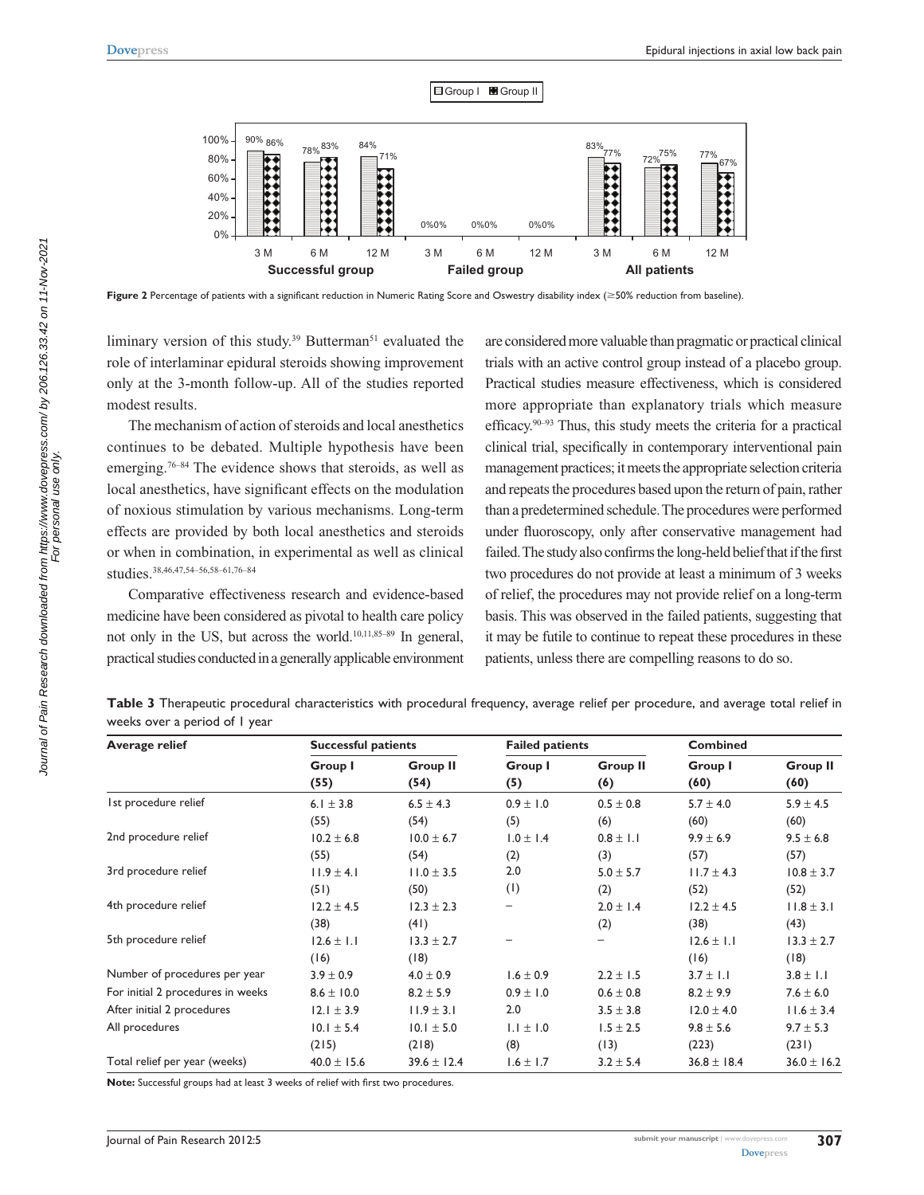

**Figure 2** Percentage of patients with a significant reduction in Numeric Rating Score and Oswestry disability index (≥50% reduction from baseline).

liminary version of this study.<sup>39</sup> Butterman<sup>51</sup> evaluated the role of interlaminar epidural steroids showing improvement only at the 3-month follow-up. All of the studies reported modest results.

The mechanism of action of steroids and local anesthetics continues to be debated. Multiple hypothesis have been emerging.76–84 The evidence shows that steroids, as well as local anesthetics, have significant effects on the modulation of noxious stimulation by various mechanisms. Long-term effects are provided by both local anesthetics and steroids or when in combination, in experimental as well as clinical studies.38,46,47,54–56,58–61,76–84

Comparative effectiveness research and evidence-based medicine have been considered as pivotal to health care policy not only in the US, but across the world.10,11,85–89 In general, practical studies conducted in a generally applicable environment are considered more valuable than pragmatic or practical clinical trials with an active control group instead of a placebo group. Practical studies measure effectiveness, which is considered more appropriate than explanatory trials which measure efficacy.90–93 Thus, this study meets the criteria for a practical clinical trial, specifically in contemporary interventional pain management practices; it meets the appropriate selection criteria and repeats the procedures based upon the return of pain, rather than a predetermined schedule. The procedures were performed under fluoroscopy, only after conservative management had failed. The study also confirms the long-held belief that if the first two procedures do not provide at least a minimum of 3 weeks of relief, the procedures may not provide relief on a long-term basis. This was observed in the failed patients, suggesting that it may be futile to continue to repeat these procedures in these patients, unless there are compelling reasons to do so.

| Table 3 Therapeutic procedural characteristics with procedural frequency, average relief per procedure, and average total relief in |  |  |  |  |
|-------------------------------------------------------------------------------------------------------------------------------------|--|--|--|--|
| weeks over a period of I year                                                                                                       |  |  |  |  |

| <b>Average relief</b>             | <b>Successful patients</b> |                         | <b>Failed patients</b> |                        | <b>Combined</b> |                         |
|-----------------------------------|----------------------------|-------------------------|------------------------|------------------------|-----------------|-------------------------|
|                                   | Group I<br>(55)            | <b>Group II</b><br>(54) | Group I<br>(5)         | <b>Group II</b><br>(6) | Group I<br>(60) | <b>Group II</b><br>(60) |
| Ist procedure relief              | 6.1 $\pm$ 3.8              | $6.5 \pm 4.3$           | $0.9 \pm 1.0$          | $0.5 \pm 0.8$          | $5.7 \pm 4.0$   | $5.9 \pm 4.5$           |
|                                   | (55)                       | (54)                    | (5)                    | (6)                    | (60)            | (60)                    |
| 2nd procedure relief              | $10.2 \pm 6.8$             | $10.0 \pm 6.7$          | $1.0 \pm 1.4$          | $0.8 \pm 1.1$          | $9.9 \pm 6.9$   | $9.5 \pm 6.8$           |
|                                   | (55)                       | (54)                    | (2)                    | (3)                    | (57)            | (57)                    |
| 3rd procedure relief              | $11.9 \pm 4.1$             | $11.0 \pm 3.5$          | 2.0                    | $5.0 \pm 5.7$          | $11.7 \pm 4.3$  | $10.8 \pm 3.7$          |
|                                   | (51)                       | (50)                    | (1)                    | (2)                    | (52)            | (52)                    |
| 4th procedure relief              | $12.2 \pm 4.5$             | $12.3 \pm 2.3$          |                        | $2.0 \pm 1.4$          | $12.2 \pm 4.5$  | $11.8 \pm 3.1$          |
|                                   | (38)                       | (41)                    |                        | (2)                    | (38)            | (43)                    |
| 5th procedure relief              | $12.6 \pm 1.1$             | $13.3 \pm 2.7$          |                        | -                      | $12.6 \pm 1.1$  | $13.3 \pm 2.7$          |
|                                   | (16)                       | (18)                    |                        |                        | (16)            | (18)                    |
| Number of procedures per year     | $3.9 \pm 0.9$              | $4.0 \pm 0.9$           | $1.6 \pm 0.9$          | $2.2 \pm 1.5$          | $3.7 \pm 1.1$   | $3.8 \pm 1.1$           |
| For initial 2 procedures in weeks | $8.6 \pm 10.0$             | $8.2 \pm 5.9$           | $0.9 \pm 1.0$          | $0.6 \pm 0.8$          | $8.2 \pm 9.9$   | $7.6 \pm 6.0$           |
| After initial 2 procedures        | $12.1 \pm 3.9$             | $11.9 \pm 3.1$          | 2.0                    | $3.5 \pm 3.8$          | $12.0 \pm 4.0$  | $11.6 \pm 3.4$          |
| All procedures                    | $10.1 \pm 5.4$             | $10.1 \pm 5.0$          | $1.1 \pm 1.0$          | $1.5 \pm 2.5$          | $9.8 \pm 5.6$   | $9.7 \pm 5.3$           |
|                                   | (215)                      | (218)                   | (8)                    | (13)                   | (223)           | (231)                   |
| Total relief per year (weeks)     | $40.0 \pm 15.6$            | $39.6 \pm 12.4$         | $1.6 \pm 1.7$          | $3.2 \pm 5.4$          | $36.8 \pm 18.4$ | $36.0 \pm 16.2$         |

**Note:** Successful groups had at least 3 weeks of relief with first two procedures.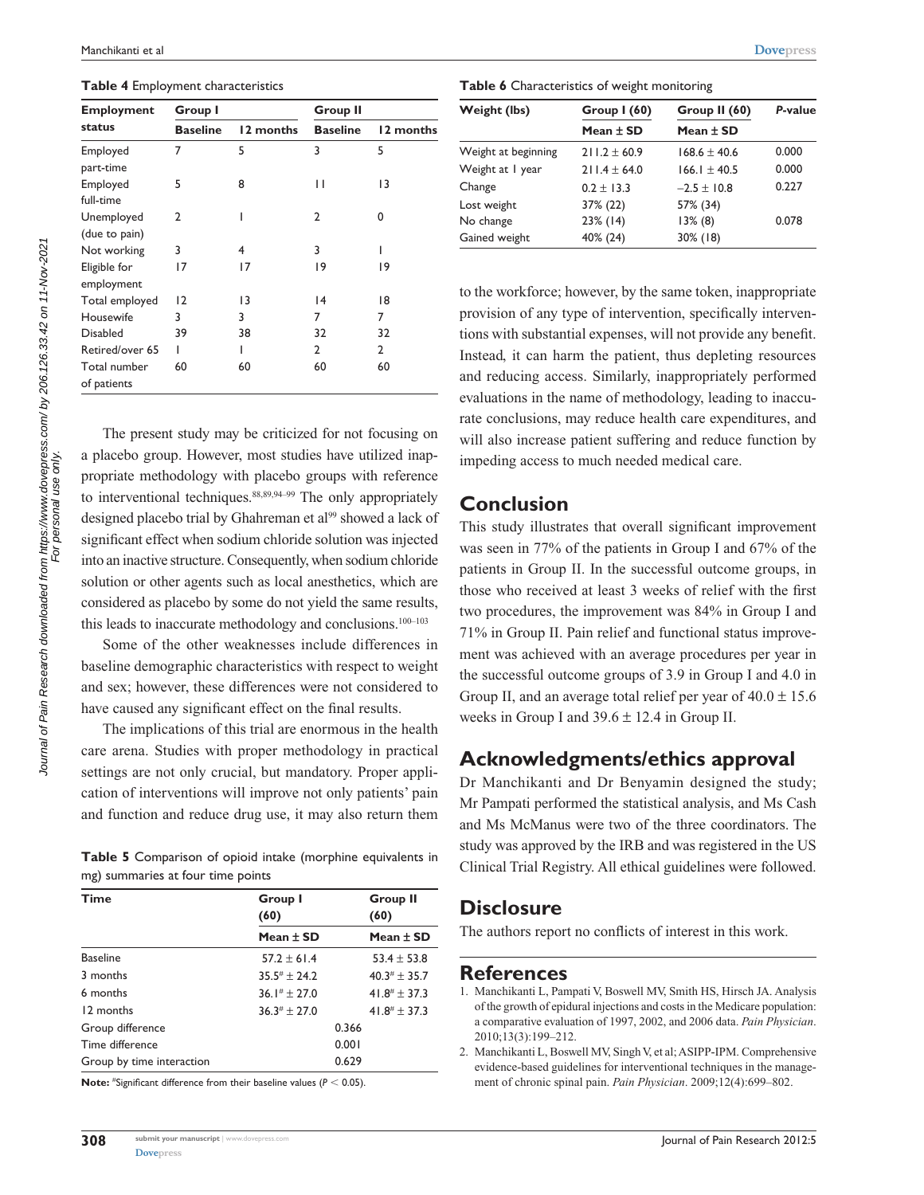**Table 4** Employment characteristics

| Employment                  | Group I         |           | <b>Group II</b> |           |
|-----------------------------|-----------------|-----------|-----------------|-----------|
| status                      | <b>Baseline</b> | 12 months | <b>Baseline</b> | 12 months |
| Employed<br>part-time       | 7               | 5         | 3               | 5         |
| Employed<br>full-time       | 5               | 8         | П               | 13        |
| Unemployed<br>(due to pain) | 2               |           | 2               | 0         |
| Not working                 | 3               | 4         | 3               |           |
| Eligible for<br>employment  | 17              | 17        | 19              | 19        |
| Total employed              | $ 2\rangle$     | 13        | 4               | 18        |
| Housewife                   | 3               | 3         | 7               | 7         |
| Disabled                    | 39              | 38        | 32              | 32        |
| Retired/over 65             | ı               |           | 2               | 2         |
| Total number<br>of patients | 60              | 60        | 60              | 60        |

The present study may be criticized for not focusing on a placebo group. However, most studies have utilized inappropriate methodology with placebo groups with reference to interventional techniques.<sup>88,89,94–99</sup> The only appropriately designed placebo trial by Ghahreman et al<sup>99</sup> showed a lack of significant effect when sodium chloride solution was injected into an inactive structure. Consequently, when sodium chloride solution or other agents such as local anesthetics, which are considered as placebo by some do not yield the same results, this leads to inaccurate methodology and conclusions.100–103

Some of the other weaknesses include differences in baseline demographic characteristics with respect to weight and sex; however, these differences were not considered to have caused any significant effect on the final results.

The implications of this trial are enormous in the health care arena. Studies with proper methodology in practical settings are not only crucial, but mandatory. Proper application of interventions will improve not only patients' pain and function and reduce drug use, it may also return them

**Table 5** Comparison of opioid intake (morphine equivalents in mg) summaries at four time points

| Time                      | Group I<br>(60)      | <b>Group II</b><br>(60)    |
|---------------------------|----------------------|----------------------------|
|                           | Mean $\pm$ SD        | Mean $\pm$ SD              |
| <b>Baseline</b>           | $57.2 \pm 61.4$      | $53.4 \pm 53.8$            |
| 3 months                  | $35.5# \pm 24.2$     | $40.3$ <sup>#</sup> ± 35.7 |
| 6 months                  | $36.1^{\#} \pm 27.0$ | 41.8# $\pm$ 37.3           |
| 12 months                 | $36.3# \pm 27.0$     | $41.8^{\#} \pm 37.3$       |
| Group difference          |                      | 0.366                      |
| Time difference           |                      | 0.001                      |
| Group by time interaction |                      | 0.629                      |

**Note:** #Significant difference from their baseline values ( $P < 0.05$ ).

**[Dovepress](www.dovepress.com)** 

**Table 6** Characteristics of weight monitoring

| Weight (lbs)        | Group $1(60)$    | Group II (60)    | P-value |
|---------------------|------------------|------------------|---------|
|                     | Mean $\pm$ SD    | Mean $\pm$ SD    |         |
| Weight at beginning | $211.2 \pm 60.9$ | $168.6 \pm 40.6$ | 0.000   |
| Weight at I year    | $211.4 \pm 64.0$ | $166.1 \pm 40.5$ | 0.000   |
| Change              | $0.2 \pm 13.3$   | $-2.5 \pm 10.8$  | 0.227   |
| Lost weight         | 37% (22)         | 57% (34)         |         |
| No change           | 23% (14)         | $13\%$ (8)       | 0.078   |
| Gained weight       | 40% (24)         | $30\%$ (18)      |         |

to the workforce; however, by the same token, inappropriate provision of any type of intervention, specifically interventions with substantial expenses, will not provide any benefit. Instead, it can harm the patient, thus depleting resources and reducing access. Similarly, inappropriately performed evaluations in the name of methodology, leading to inaccurate conclusions, may reduce health care expenditures, and will also increase patient suffering and reduce function by impeding access to much needed medical care.

## **Conclusion**

This study illustrates that overall significant improvement was seen in 77% of the patients in Group I and 67% of the patients in Group II. In the successful outcome groups, in those who received at least 3 weeks of relief with the first two procedures, the improvement was 84% in Group I and 71% in Group II. Pain relief and functional status improvement was achieved with an average procedures per year in the successful outcome groups of 3.9 in Group I and 4.0 in Group II, and an average total relief per year of  $40.0 \pm 15.6$ weeks in Group I and  $39.6 \pm 12.4$  in Group II.

# **Acknowledgments/ethics approval**

Dr Manchikanti and Dr Benyamin designed the study; Mr Pampati performed the statistical analysis, and Ms Cash and Ms McManus were two of the three coordinators. The study was approved by the IRB and was registered in the US Clinical Trial Registry. All ethical guidelines were followed.

## **Disclosure**

The authors report no conflicts of interest in this work.

#### **References**

- 1. Manchikanti L, Pampati V, Boswell MV, Smith HS, Hirsch JA. Analysis of the growth of epidural injections and costs in the Medicare population: a comparative evaluation of 1997, 2002, and 2006 data. *Pain Physician*. 2010;13(3):199–212.
- 2. Manchikanti L, Boswell MV, Singh V, et al; ASIPP-IPM. Comprehensive evidence-based guidelines for interventional techniques in the management of chronic spinal pain. *Pain Physician*. 2009;12(4):699–802.

Journal of Pain Research downloaded from https://www.dovepress.com/ by 206.126.33.42 on 11-Nov-2021 Journal of Pain Research downloaded from https://www.dovepress.com/ by 206.126.33.42 on 11-Nov-202<br>For personal use only. For personal use only.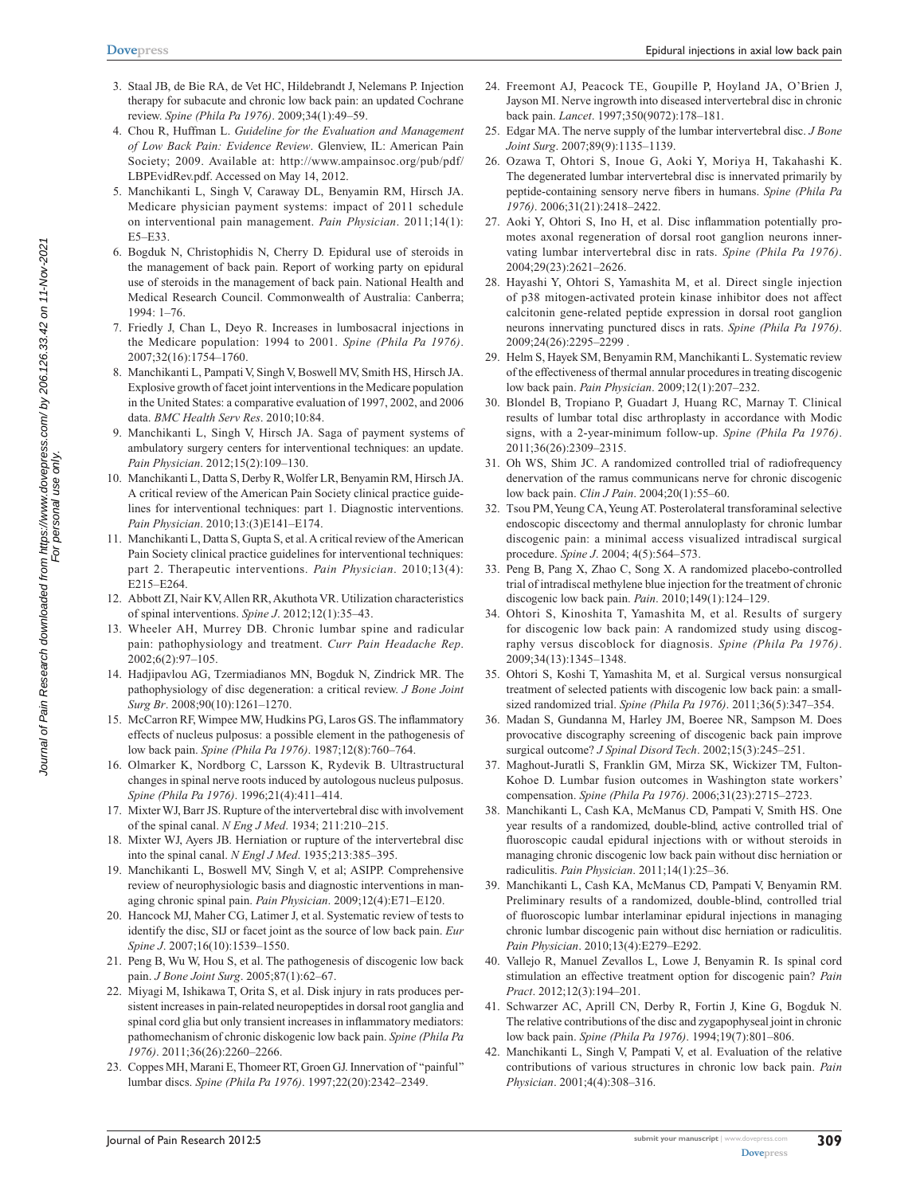- 3. Staal JB, de Bie RA, de Vet HC, Hildebrandt J, Nelemans P. Injection therapy for subacute and chronic low back pain: an updated Cochrane review. *Spine (Phila Pa 1976)*. 2009;34(1):49–59.
- 4. Chou R, Huffman L. *Guideline for the Evaluation and Management of Low Back Pain: Evidence Review*. Glenview, IL: American Pain Society; 2009. Available at: http://[www.ampainsoc.org/pub/pdf/](http://www.ampainsoc.org/pub/pdf/LBPEvidRev.pdf) [LBPEvidRev.pdf](http://www.ampainsoc.org/pub/pdf/LBPEvidRev.pdf). Accessed on May 14, 2012.
- 5. Manchikanti L, Singh V, Caraway DL, Benyamin RM, Hirsch JA. Medicare physician payment systems: impact of 2011 schedule on interventional pain management. *Pain Physician*. 2011;14(1): E5–E33.
- 6. Bogduk N, Christophidis N, Cherry D. Epidural use of steroids in the management of back pain. Report of working party on epidural use of steroids in the management of back pain. National Health and Medical Research Council. Commonwealth of Australia: Canberra; 1994: 1–76.
- 7. Friedly J, Chan L, Deyo R. Increases in lumbosacral injections in the Medicare population: 1994 to 2001. *Spine (Phila Pa 1976)*. 2007;32(16):1754–1760.
- 8. Manchikanti L, Pampati V, Singh V, Boswell MV, Smith HS, Hirsch JA. Explosive growth of facet joint interventions in the Medicare population in the United States: a comparative evaluation of 1997, 2002, and 2006 data. *BMC Health Serv Res*. 2010;10:84.
- 9. Manchikanti L, Singh V, Hirsch JA. Saga of payment systems of ambulatory surgery centers for interventional techniques: an update. *Pain Physician*. 2012;15(2):109–130.
- 10. Manchikanti L, Datta S, Derby R, Wolfer LR, Benyamin RM, Hirsch JA. A critical review of the American Pain Society clinical practice guidelines for interventional techniques: part 1. Diagnostic interventions. *Pain Physician*. 2010;13:(3)E141–E174.
- 11. Manchikanti L, Datta S, Gupta S, et al. A critical review of the American Pain Society clinical practice guidelines for interventional techniques: part 2. Therapeutic interventions. *Pain Physician*. 2010;13(4): E215–E264.
- 12. Abbott ZI, Nair KV, Allen RR, Akuthota VR. Utilization characteristics of spinal interventions. *Spine J*. 2012;12(1):35–43.
- 13. Wheeler AH, Murrey DB. Chronic lumbar spine and radicular pain: pathophysiology and treatment. *Curr Pain Headache Rep*. 2002;6(2):97–105.
- 14. Hadjipavlou AG, Tzermiadianos MN, Bogduk N, Zindrick MR. The pathophysiology of disc degeneration: a critical review. *J Bone Joint Surg Br*. 2008;90(10):1261–1270.
- 15. McCarron RF, Wimpee MW, Hudkins PG, Laros GS. The inflammatory effects of nucleus pulposus: a possible element in the pathogenesis of low back pain. *Spine (Phila Pa 1976)*. 1987;12(8):760–764.
- 16. Olmarker K, Nordborg C, Larsson K, Rydevik B. Ultrastructural changes in spinal nerve roots induced by autologous nucleus pulposus. *Spine (Phila Pa 1976)*. 1996;21(4):411–414.
- 17. Mixter WJ, Barr JS. Rupture of the intervertebral disc with involvement of the spinal canal. *N Eng J Med*. 1934; 211:210–215.
- 18. Mixter WJ, Ayers JB. Herniation or rupture of the intervertebral disc into the spinal canal. *N Engl J Med*. 1935;213:385–395.
- 19. Manchikanti L, Boswell MV, Singh V, et al; ASIPP. Comprehensive review of neurophysiologic basis and diagnostic interventions in managing chronic spinal pain. *Pain Physician*. 2009;12(4):E71–E120.
- 20. Hancock MJ, Maher CG, Latimer J, et al. Systematic review of tests to identify the disc, SIJ or facet joint as the source of low back pain. *Eur Spine J*. 2007;16(10):1539–1550.
- 21. Peng B, Wu W, Hou S, et al. The pathogenesis of discogenic low back pain. *J Bone Joint Surg*. 2005;87(1):62–67.
- 22. Miyagi M, Ishikawa T, Orita S, et al. Disk injury in rats produces persistent increases in pain-related neuropeptides in dorsal root ganglia and spinal cord glia but only transient increases in inflammatory mediators: pathomechanism of chronic diskogenic low back pain. *Spine (Phila Pa 1976)*. 2011;36(26):2260–2266.
- 23. Coppes MH, Marani E, Thomeer RT, Groen GJ. Innervation of ''painful'' lumbar discs. *Spine (Phila Pa 1976)*. 1997;22(20):2342–2349.
- 24. Freemont AJ, Peacock TE, Goupille P, Hoyland JA, O'Brien J, Jayson MI. Nerve ingrowth into diseased intervertebral disc in chronic back pain. *Lancet*. 1997;350(9072):178–181.
- 25. Edgar MA. The nerve supply of the lumbar intervertebral disc. *J Bone Joint Surg*. 2007;89(9):1135–1139.
- 26. Ozawa T, Ohtori S, Inoue G, Aoki Y, Moriya H, Takahashi K. The degenerated lumbar intervertebral disc is innervated primarily by peptide-containing sensory nerve fibers in humans. *Spine (Phila Pa 1976)*. 2006;31(21):2418–2422.
- 27. Aoki Y, Ohtori S, Ino H, et al. Disc inflammation potentially promotes axonal regeneration of dorsal root ganglion neurons innervating lumbar intervertebral disc in rats. *Spine (Phila Pa 1976)*. 2004;29(23):2621–2626.
- 28. Hayashi Y, Ohtori S, Yamashita M, et al. Direct single injection of p38 mitogen-activated protein kinase inhibitor does not affect calcitonin gene-related peptide expression in dorsal root ganglion neurons innervating punctured discs in rats. *Spine (Phila Pa 1976)*. 2009;24(26):2295–2299 .
- 29. Helm S, Hayek SM, Benyamin RM, Manchikanti L. Systematic review of the effectiveness of thermal annular procedures in treating discogenic low back pain. *Pain Physician*. 2009;12(1):207–232.
- 30. Blondel B, Tropiano P, Guadart J, Huang RC, Marnay T. Clinical results of lumbar total disc arthroplasty in accordance with Modic signs, with a 2-year-minimum follow-up. *Spine (Phila Pa 1976)*. 2011;36(26):2309–2315.
- 31. Oh WS, Shim JC. A randomized controlled trial of radiofrequency denervation of the ramus communicans nerve for chronic discogenic low back pain. *Clin J Pain*. 2004;20(1):55–60.
- 32. Tsou PM, Yeung CA, Yeung AT. Posterolateral transforaminal selective endoscopic discectomy and thermal annuloplasty for chronic lumbar discogenic pain: a minimal access visualized intradiscal surgical procedure. *Spine J*. 2004; 4(5):564–573.
- 33. Peng B, Pang X, Zhao C, Song X. A randomized placebo-controlled trial of intradiscal methylene blue injection for the treatment of chronic discogenic low back pain. *Pain*. 2010;149(1):124–129.
- 34. Ohtori S, Kinoshita T, Yamashita M, et al. Results of surgery for discogenic low back pain: A randomized study using discography versus discoblock for diagnosis. *Spine (Phila Pa 1976)*. 2009;34(13):1345–1348.
- 35. Ohtori S, Koshi T, Yamashita M, et al. Surgical versus nonsurgical treatment of selected patients with discogenic low back pain: a smallsized randomized trial. *Spine (Phila Pa 1976)*. 2011;36(5):347–354.
- 36. Madan S, Gundanna M, Harley JM, Boeree NR, Sampson M. Does provocative discography screening of discogenic back pain improve surgical outcome? *J Spinal Disord Tech*. 2002;15(3):245–251.
- 37. Maghout-Juratli S, Franklin GM, Mirza SK, Wickizer TM, Fulton-Kohoe D. Lumbar fusion outcomes in Washington state workers' compensation. *Spine (Phila Pa 1976)*. 2006;31(23):2715–2723.
- 38. Manchikanti L, Cash KA, McManus CD, Pampati V, Smith HS. One year results of a randomized, double-blind, active controlled trial of fluoroscopic caudal epidural injections with or without steroids in managing chronic discogenic low back pain without disc herniation or radiculitis. *Pain Physician*. 2011;14(1):25–36.
- 39. Manchikanti L, Cash KA, McManus CD, Pampati V, Benyamin RM. Preliminary results of a randomized, double-blind, controlled trial of fluoroscopic lumbar interlaminar epidural injections in managing chronic lumbar discogenic pain without disc herniation or radiculitis. *Pain Physician*. 2010;13(4):E279–E292.
- 40. Vallejo R, Manuel Zevallos L, Lowe J, Benyamin R. Is spinal cord stimulation an effective treatment option for discogenic pain? *Pain Pract*. 2012;12(3):194–201.
- 41. Schwarzer AC, Aprill CN, Derby R, Fortin J, Kine G, Bogduk N. The relative contributions of the disc and zygapophyseal joint in chronic low back pain. *Spine (Phila Pa 1976)*. 1994;19(7):801–806.
- 42. Manchikanti L, Singh V, Pampati V, et al. Evaluation of the relative contributions of various structures in chronic low back pain. *Pain Physician*. 2001;4(4):308–316.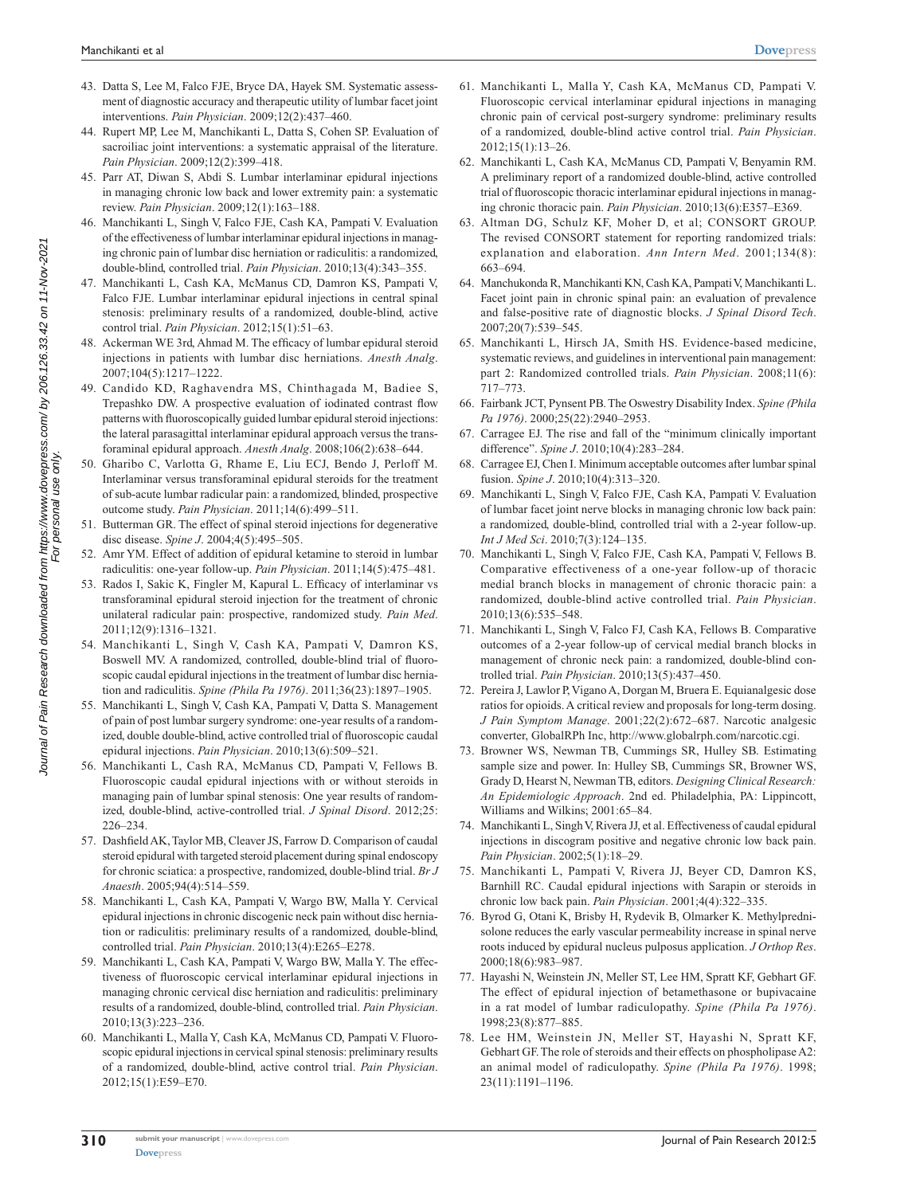- 43. Datta S, Lee M, Falco FJE, Bryce DA, Hayek SM. Systematic assessment of diagnostic accuracy and therapeutic utility of lumbar facet joint interventions. *Pain Physician*. 2009;12(2):437–460.
- 44. Rupert MP, Lee M, Manchikanti L, Datta S, Cohen SP. Evaluation of sacroiliac joint interventions: a systematic appraisal of the literature. *Pain Physician*. 2009;12(2):399–418.
- 45. Parr AT, Diwan S, Abdi S. Lumbar interlaminar epidural injections in managing chronic low back and lower extremity pain: a systematic review. *Pain Physician*. 2009;12(1):163–188.
- 46. Manchikanti L, Singh V, Falco FJE, Cash KA, Pampati V. Evaluation of the effectiveness of lumbar interlaminar epidural injections in managing chronic pain of lumbar disc herniation or radiculitis: a randomized, double-blind, controlled trial. *Pain Physician*. 2010;13(4):343–355.
- 47. Manchikanti L, Cash KA, McManus CD, Damron KS, Pampati V, Falco FJE. Lumbar interlaminar epidural injections in central spinal stenosis: preliminary results of a randomized, double-blind, active control trial. *Pain Physician*. 2012;15(1):51–63.
- 48. Ackerman WE 3rd, Ahmad M. The efficacy of lumbar epidural steroid injections in patients with lumbar disc herniations. *Anesth Analg*. 2007;104(5):1217–1222.
- 49. Candido KD, Raghavendra MS, Chinthagada M, Badiee S, Trepashko DW. A prospective evaluation of iodinated contrast flow patterns with fluoroscopically guided lumbar epidural steroid injections: the lateral parasagittal interlaminar epidural approach versus the transforaminal epidural approach. *Anesth Analg*. 2008;106(2):638–644.
- 50. Gharibo C, Varlotta G, Rhame E, Liu ECJ, Bendo J, Perloff M. Interlaminar versus transforaminal epidural steroids for the treatment of sub-acute lumbar radicular pain: a randomized, blinded, prospective outcome study. *Pain Physician*. 2011;14(6):499–511.
- 51. Butterman GR. The effect of spinal steroid injections for degenerative disc disease. *Spine J*. 2004;4(5):495–505.
- 52. Amr YM. Effect of addition of epidural ketamine to steroid in lumbar radiculitis: one-year follow-up. *Pain Physician*. 2011;14(5):475–481.
- 53. Rados I, Sakic K, Fingler M, Kapural L. Efficacy of interlaminar vs transforaminal epidural steroid injection for the treatment of chronic unilateral radicular pain: prospective, randomized study. *Pain Med*. 2011;12(9):1316–1321.
- 54. Manchikanti L, Singh V, Cash KA, Pampati V, Damron KS, Boswell MV. A randomized, controlled, double-blind trial of fluoroscopic caudal epidural injections in the treatment of lumbar disc herniation and radiculitis. *Spine (Phila Pa 1976)*. 2011;36(23):1897–1905.
- 55. Manchikanti L, Singh V, Cash KA, Pampati V, Datta S. Management of pain of post lumbar surgery syndrome: one-year results of a randomized, double double-blind, active controlled trial of fluoroscopic caudal epidural injections. *Pain Physician*. 2010;13(6):509–521.
- 56. Manchikanti L, Cash RA, McManus CD, Pampati V, Fellows B. Fluoroscopic caudal epidural injections with or without steroids in managing pain of lumbar spinal stenosis: One year results of randomized, double-blind, active-controlled trial. *J Spinal Disord*. 2012;25: 226–234.
- 57. Dashfield AK, Taylor MB, Cleaver JS, Farrow D. Comparison of caudal steroid epidural with targeted steroid placement during spinal endoscopy for chronic sciatica: a prospective, randomized, double-blind trial. *Br J Anaesth*. 2005;94(4):514–559.
- 58. Manchikanti L, Cash KA, Pampati V, Wargo BW, Malla Y. Cervical epidural injections in chronic discogenic neck pain without disc herniation or radiculitis: preliminary results of a randomized, double-blind, controlled trial. *Pain Physician*. 2010;13(4):E265–E278.
- 59. Manchikanti L, Cash KA, Pampati V, Wargo BW, Malla Y. The effectiveness of fluoroscopic cervical interlaminar epidural injections in managing chronic cervical disc herniation and radiculitis: preliminary results of a randomized, double-blind, controlled trial. *Pain Physician*. 2010;13(3):223–236.
- 60. Manchikanti L, Malla Y, Cash KA, McManus CD, Pampati V. Fluoroscopic epidural injections in cervical spinal stenosis: preliminary results of a randomized, double-blind, active control trial. *Pain Physician*. 2012;15(1):E59–E70.
- 61. Manchikanti L, Malla Y, Cash KA, McManus CD, Pampati V. Fluoroscopic cervical interlaminar epidural injections in managing chronic pain of cervical post-surgery syndrome: preliminary results of a randomized, double-blind active control trial. *Pain Physician*. 2012;15(1):13–26.
- 62. Manchikanti L, Cash KA, McManus CD, Pampati V, Benyamin RM. A preliminary report of a randomized double-blind, active controlled trial of fluoroscopic thoracic interlaminar epidural injections in managing chronic thoracic pain. *Pain Physician*. 2010;13(6):E357–E369.
- 63. Altman DG, Schulz KF, Moher D, et al; CONSORT GROUP. The revised CONSORT statement for reporting randomized trials: explanation and elaboration. *Ann Intern Med*. 2001;134(8): 663–694.
- 64. Manchukonda R, Manchikanti KN, Cash KA, Pampati V, Manchikanti L. Facet joint pain in chronic spinal pain: an evaluation of prevalence and false-positive rate of diagnostic blocks. *J Spinal Disord Tech*. 2007;20(7):539–545.
- 65. Manchikanti L, Hirsch JA, Smith HS. Evidence-based medicine, systematic reviews, and guidelines in interventional pain management: part 2: Randomized controlled trials. *Pain Physician*. 2008;11(6): 717–773.
- 66. Fairbank JCT, Pynsent PB. The Oswestry Disability Index. *Spine (Phila Pa 1976)*. 2000;25(22):2940–2953.
- 67. Carragee EJ. The rise and fall of the "minimum clinically important difference". *Spine J*. 2010;10(4):283–284.
- 68. Carragee EJ, Chen I. Minimum acceptable outcomes after lumbar spinal fusion. *Spine J*. 2010;10(4):313–320.
- 69. Manchikanti L, Singh V, Falco FJE, Cash KA, Pampati V. Evaluation of lumbar facet joint nerve blocks in managing chronic low back pain: a randomized, double-blind, controlled trial with a 2-year follow-up. *Int J Med Sci*. 2010;7(3):124–135.
- 70. Manchikanti L, Singh V, Falco FJE, Cash KA, Pampati V, Fellows B. Comparative effectiveness of a one-year follow-up of thoracic medial branch blocks in management of chronic thoracic pain: a randomized, double-blind active controlled trial. *Pain Physician*. 2010;13(6):535–548.
- 71. Manchikanti L, Singh V, Falco FJ, Cash KA, Fellows B. Comparative outcomes of a 2-year follow-up of cervical medial branch blocks in management of chronic neck pain: a randomized, double-blind controlled trial. *Pain Physician*. 2010;13(5):437–450.
- 72. Pereira J, Lawlor P, Vigano A, Dorgan M, Bruera E. Equianalgesic dose ratios for opioids. A critical review and proposals for long-term dosing. *J Pain Symptom Manage*. 2001;22(2):672–687. Narcotic analgesic converter, GlobalRPh Inc, http:/[/www.globalrph.com/narcotic.cgi](http://www.globalrph.com/narcotic.cgi).
- 73. Browner WS, Newman TB, Cummings SR, Hulley SB. Estimating sample size and power. In: Hulley SB, Cummings SR, Browner WS, Grady D, Hearst N, Newman TB, editors. *Designing Clinical Research: An Epidemiologic Approach*. 2nd ed. Philadelphia, PA: Lippincott, Williams and Wilkins; 2001:65–84.
- 74. Manchikanti L, Singh V, Rivera JJ, et al. Effectiveness of caudal epidural injections in discogram positive and negative chronic low back pain. *Pain Physician*. 2002;5(1):18–29.
- 75. Manchikanti L, Pampati V, Rivera JJ, Beyer CD, Damron KS, Barnhill RC. Caudal epidural injections with Sarapin or steroids in chronic low back pain. *Pain Physician*. 2001;4(4):322–335.
- 76. Byrod G, Otani K, Brisby H, Rydevik B, Olmarker K. Methylprednisolone reduces the early vascular permeability increase in spinal nerve roots induced by epidural nucleus pulposus application. *J Orthop Res*. 2000;18(6):983–987.
- 77. Hayashi N, Weinstein JN, Meller ST, Lee HM, Spratt KF, Gebhart GF. The effect of epidural injection of betamethasone or bupivacaine in a rat model of lumbar radiculopathy. *Spine (Phila Pa 1976)*. 1998;23(8):877–885.
- 78. Lee HM, Weinstein JN, Meller ST, Hayashi N, Spratt KF, Gebhart GF. The role of steroids and their effects on phospholipase A2: an animal model of radiculopathy. *Spine (Phila Pa 1976)*. 1998; 23(11):1191–1196.